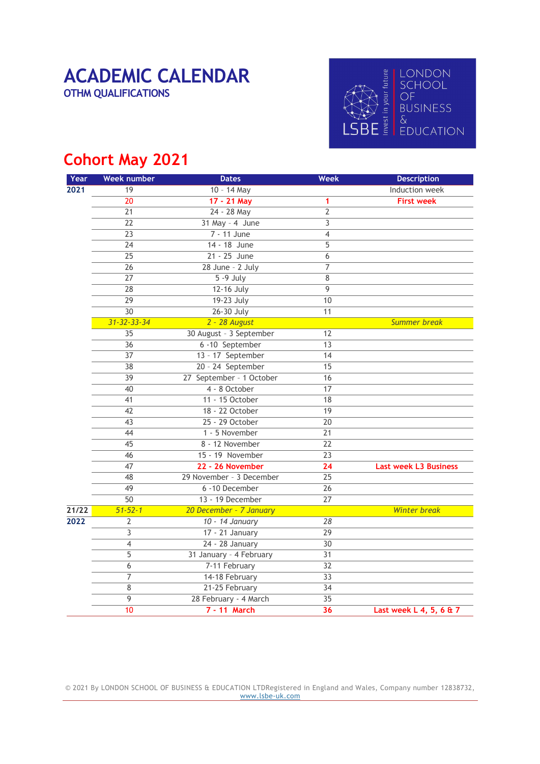# OTHM QUALIFICATIONS



#### Cohort May 2021

| Year  | <b>Week number</b>       | <b>Dates</b>             | <b>Week</b>     | <b>Description</b>           |
|-------|--------------------------|--------------------------|-----------------|------------------------------|
| 2021  | 19                       | 10 - 14 May              |                 | Induction week               |
|       | $\overline{20}$          | 17 - 21 May              | 1               | <b>First week</b>            |
|       | $\overline{21}$          | 24 - 28 May              | $\overline{2}$  |                              |
|       | $\overline{22}$          | $31$ May - 4 June        | $\overline{3}$  |                              |
|       | $\overline{23}$          | 7 - 11 June              | $\overline{4}$  |                              |
|       | $\overline{24}$          | 14 - 18 June             | $\overline{5}$  |                              |
|       | $\overline{25}$          | 21 - 25 June             | 6               |                              |
|       | $\overline{26}$          | 28 June - 2 July         | 7               |                              |
|       | $\overline{27}$          | $5 - 9$ July             | 8               |                              |
|       | 28                       | 12-16 July               | 9               |                              |
|       | $\overline{29}$          | 19-23 July               | 10              |                              |
|       | $\overline{30}$          | 26-30 July               | $\overline{11}$ |                              |
|       | 31-32-33-34              | 2 - 28 August            |                 | <b>Summer break</b>          |
|       | 35                       | 30 August - 3 September  | 12              |                              |
|       | $\overline{36}$          | 6 -10 September          | $\overline{13}$ |                              |
|       | $\overline{37}$          | 13 - 17 September        | 14              |                              |
|       | $\overline{38}$          | 20 - 24 September        | $\overline{15}$ |                              |
|       | $\overline{39}$          | 27 September - 1 October | 16              |                              |
|       | 40                       | 4 - 8 October            | 17              |                              |
|       | 41                       | 11 - 15 October          | 18              |                              |
|       | 42                       | 18 - 22 October          | $\overline{19}$ |                              |
|       | 43                       | 25 - 29 October          | $\overline{20}$ |                              |
|       | $\overline{44}$          | 1 - 5 November           | $\overline{21}$ |                              |
|       | $\overline{45}$          | 8 - 12 November          | $\overline{22}$ |                              |
|       | 46                       | 15 - 19 November         | $\overline{23}$ |                              |
|       | 47                       | 22 - 26 November         | 24              | <b>Last week L3 Business</b> |
|       | 48                       | 29 November - 3 December | $\overline{25}$ |                              |
|       | 49                       | 6 -10 December           | $\overline{26}$ |                              |
|       | $\overline{50}$          | 13 - 19 December         | $\overline{27}$ |                              |
| 21/22 | $51 - 52 - 1$            | 20 December - 7 January  |                 | <b>Winter break</b>          |
| 2022  | $\overline{2}$           | 10 - 14 January          | $\overline{28}$ |                              |
|       | $\overline{3}$           | 17 - 21 January          | $\overline{29}$ |                              |
|       | $\overline{\mathcal{L}}$ | 24 - 28 January          | $\overline{30}$ |                              |
|       | $\overline{5}$           | 31 January - 4 February  | $\overline{31}$ |                              |
|       | 6                        | 7-11 February            | $\overline{32}$ |                              |
|       | $\overline{7}$           | 14-18 February           | $\overline{33}$ |                              |
|       | 8                        | 21-25 February           | $\overline{34}$ |                              |
|       | 9                        | 28 February - 4 March    | $\overline{35}$ |                              |
|       | 10                       | 7 - 11 March             | $\overline{36}$ | Last week L 4, 5, 6 & 7      |

© 2021 By LONDON SCHOOL OF BUSINESS & EDUCATION LTDRegistered in England and Wales, Company number 12838732, www.lsbe-uk.com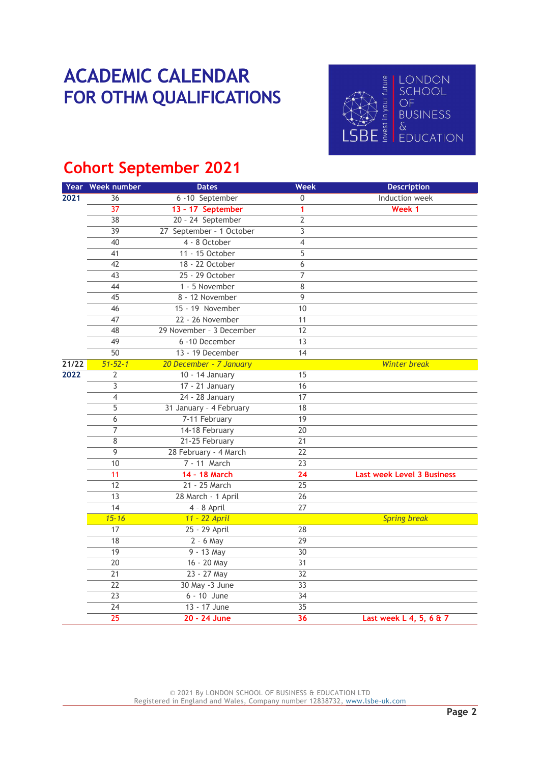## ACADEMIC CALENDAR<br>
FOR OTHM QUALIFICATIONS<br>
FOR OTHM QUALIFICATIONS FOR OTHM QUALIFICATIONS AND SCHOOL



### Cohort September 2021

|       | Year Week number | <b>Dates</b>             | <b>Week</b>     | <b>Description</b>                |
|-------|------------------|--------------------------|-----------------|-----------------------------------|
| 2021  | 36               | 6 -10 September          | $\mathbf 0$     | Induction week                    |
|       | $\overline{37}$  | 13 - 17 September        | 1               | Week 1                            |
|       | $\overline{38}$  | 20 - 24 September        | $\overline{2}$  |                                   |
|       | $\overline{39}$  | 27 September - 1 October | $\overline{3}$  |                                   |
|       | 40               | 4 - 8 October            | $\overline{4}$  |                                   |
|       | $\overline{41}$  | 11 - 15 October          | $\overline{5}$  |                                   |
|       | 42               | 18 - 22 October          | 6               |                                   |
|       | 43               | 25 - 29 October          | 7               |                                   |
|       | 44               | 1 - 5 November           | 8               |                                   |
|       | 45               | 8 - 12 November          | $\overline{9}$  |                                   |
|       | 46               | 15 - 19 November         | 10              |                                   |
|       | $\overline{47}$  | 22 - 26 November         | 11              |                                   |
|       | 48               | 29 November - 3 December | 12              |                                   |
|       | 49               | 6 -10 December           | $\overline{13}$ |                                   |
|       | $\overline{50}$  | 13 - 19 December         | $\overline{14}$ |                                   |
| 21/22 | $51 - 52 - 1$    | 20 December - 7 January  |                 | <b>Winter break</b>               |
| 2022  | $\overline{2}$   | 10 - 14 January          | 15              |                                   |
|       | 3                | 17 - 21 January          | 16              |                                   |
|       | 4                | 24 - 28 January          | 17              |                                   |
|       | $\overline{5}$   | 31 January - 4 February  | $\overline{18}$ |                                   |
|       | 6                | 7-11 February            | $\overline{19}$ |                                   |
|       | $\overline{7}$   | 14-18 February           | $\overline{20}$ |                                   |
|       | $\overline{8}$   | 21-25 February           | $\overline{21}$ |                                   |
|       | $\overline{9}$   | 28 February - 4 March    | $\overline{22}$ |                                   |
|       | 10               | 7 - 11 March             | $\overline{23}$ |                                   |
|       | $\overline{11}$  | 14 - 18 March            | $\overline{24}$ | <b>Last week Level 3 Business</b> |
|       | $\overline{12}$  | 21 - 25 March            | $\overline{25}$ |                                   |
|       | $\overline{13}$  | 28 March - 1 April       | $\overline{26}$ |                                   |
|       | $\overline{14}$  | 4 - 8 April              | $\overline{27}$ |                                   |
|       | $15 - 16$        | 11 - 22 April            |                 | <b>Spring break</b>               |
|       | $\overline{17}$  | 25 - 29 April            | $\overline{28}$ |                                   |
|       | $\overline{18}$  | $2 - 6$ May              | $\overline{29}$ |                                   |
|       | $\overline{19}$  | $9 - 13$ May             | $\overline{30}$ |                                   |
|       | $\overline{20}$  | 16 - 20 May              | $\overline{31}$ |                                   |
|       | $\overline{21}$  | 23 - 27 May              | $\overline{32}$ |                                   |
|       | $\overline{22}$  | 30 May -3 June           | $\overline{33}$ |                                   |
|       | 23               | $6 - 10$ June            | 34              |                                   |
|       | $\overline{24}$  | 13 - 17 June             | $\overline{35}$ |                                   |
|       | $\overline{25}$  | 20 - 24 June             | 36              | Last week L 4, 5, 6 & 7           |